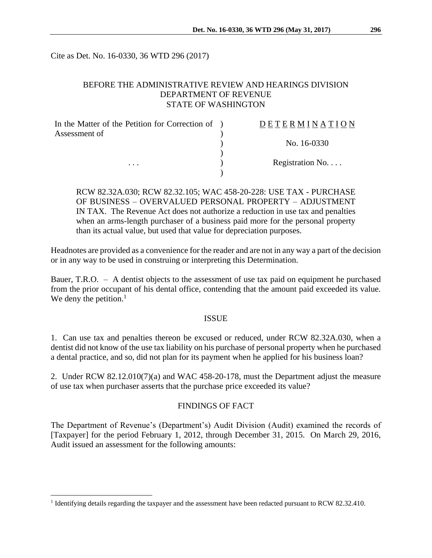Cite as Det. No. 16-0330, 36 WTD 296 (2017)

# BEFORE THE ADMINISTRATIVE REVIEW AND HEARINGS DIVISION DEPARTMENT OF REVENUE STATE OF WASHINGTON

| In the Matter of the Petition for Correction of ) | <b>DETERMINATION</b>     |
|---------------------------------------------------|--------------------------|
| Assessment of                                     |                          |
|                                                   | No. 16-0330              |
|                                                   |                          |
| $\cdots$                                          | Registration No. $\dots$ |
|                                                   |                          |

RCW 82.32A.030; RCW 82.32.105; WAC 458-20-228: USE TAX - PURCHASE OF BUSINESS – OVERVALUED PERSONAL PROPERTY – ADJUSTMENT IN TAX. The Revenue Act does not authorize a reduction in use tax and penalties when an arms-length purchaser of a business paid more for the personal property than its actual value, but used that value for depreciation purposes.

Headnotes are provided as a convenience for the reader and are not in any way a part of the decision or in any way to be used in construing or interpreting this Determination.

Bauer, T.R.O. – A dentist objects to the assessment of use tax paid on equipment he purchased from the prior occupant of his dental office, contending that the amount paid exceeded its value. We deny the petition. $<sup>1</sup>$ </sup>

### ISSUE

1. Can use tax and penalties thereon be excused or reduced, under RCW 82.32A.030, when a dentist did not know of the use tax liability on his purchase of personal property when he purchased a dental practice, and so, did not plan for its payment when he applied for his business loan?

2. Under RCW 82.12.010(7)(a) and WAC 458-20-178, must the Department adjust the measure of use tax when purchaser asserts that the purchase price exceeded its value?

## FINDINGS OF FACT

The Department of Revenue's (Department's) Audit Division (Audit) examined the records of [Taxpayer] for the period February 1, 2012, through December 31, 2015. On March 29, 2016, Audit issued an assessment for the following amounts:

 $\overline{a}$ 

<sup>&</sup>lt;sup>1</sup> Identifying details regarding the taxpayer and the assessment have been redacted pursuant to RCW 82.32.410.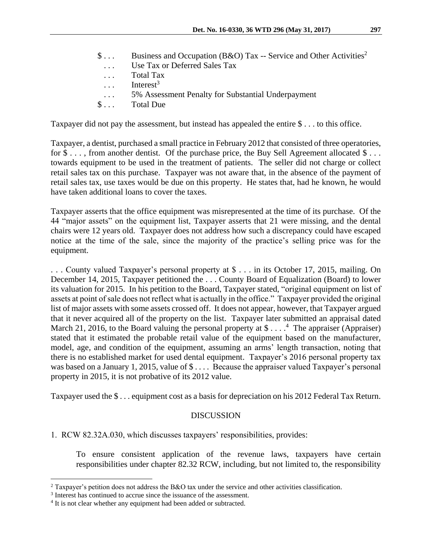| $S \ldots$              | Business and Occupation (B&O) Tax -- Service and Other Activities <sup>2</sup> |
|-------------------------|--------------------------------------------------------------------------------|
| $\cdots$                | Use Tax or Deferred Sales Tax                                                  |
| $\cdot$ $\cdot$ $\cdot$ | Total Tax                                                                      |
|                         | Interest <sup>3</sup>                                                          |
| $\cdot$ $\cdot$ $\cdot$ | 5% Assessment Penalty for Substantial Underpayment                             |
| $\mathbb{S}$            | Total Due                                                                      |
|                         |                                                                                |

Taxpayer did not pay the assessment, but instead has appealed the entire \$ . . . to this office.

Taxpayer, a dentist, purchased a small practice in February 2012 that consisted of three operatories, for \$ . . . , from another dentist. Of the purchase price, the Buy Sell Agreement allocated \$ . . . towards equipment to be used in the treatment of patients. The seller did not charge or collect retail sales tax on this purchase. Taxpayer was not aware that, in the absence of the payment of retail sales tax, use taxes would be due on this property. He states that, had he known, he would have taken additional loans to cover the taxes.

Taxpayer asserts that the office equipment was misrepresented at the time of its purchase. Of the 44 "major assets" on the equipment list, Taxpayer asserts that 21 were missing, and the dental chairs were 12 years old. Taxpayer does not address how such a discrepancy could have escaped notice at the time of the sale, since the majority of the practice's selling price was for the equipment.

. . . County valued Taxpayer's personal property at \$ . . . in its October 17, 2015, mailing. On December 14, 2015, Taxpayer petitioned the . . . County Board of Equalization (Board) to lower its valuation for 2015. In his petition to the Board, Taxpayer stated, "original equipment on list of assets at point of sale does not reflect what is actually in the office." Taxpayer provided the original list of major assets with some assets crossed off. It does not appear, however, that Taxpayer argued that it never acquired all of the property on the list. Taxpayer later submitted an appraisal dated March 21, 2016, to the Board valuing the personal property at \$ $\dots$ . <sup>4</sup> The appraiser (Appraiser) stated that it estimated the probable retail value of the equipment based on the manufacturer, model, age, and condition of the equipment, assuming an arms' length transaction, noting that there is no established market for used dental equipment. Taxpayer's 2016 personal property tax was based on a January 1, 2015, value of  $\text{\$} \ldots$ . Because the appraiser valued Taxpayer's personal property in 2015, it is not probative of its 2012 value.

Taxpayer used the \$ . . . equipment cost as a basis for depreciation on his 2012 Federal Tax Return.

## DISCUSSION

1. RCW 82.32A.030, which discusses taxpayers' responsibilities, provides:

To ensure consistent application of the revenue laws, taxpayers have certain responsibilities under chapter [82.32](http://app.leg.wa.gov/RCW/default.aspx?cite=82.32) RCW, including, but not limited to, the responsibility

 $\overline{a}$ <sup>2</sup> Taxpayer's petition does not address the B&O tax under the service and other activities classification.

<sup>&</sup>lt;sup>3</sup> Interest has continued to accrue since the issuance of the assessment.

<sup>&</sup>lt;sup>4</sup> It is not clear whether any equipment had been added or subtracted.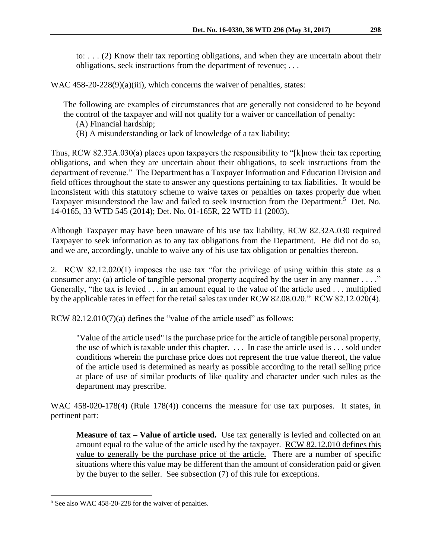to: . . . (2) Know their tax reporting obligations, and when they are uncertain about their obligations, seek instructions from the department of revenue; . . .

WAC 458-20-228(9)(a)(iii), which concerns the waiver of penalties, states:

The following are examples of circumstances that are generally not considered to be beyond the control of the taxpayer and will not qualify for a waiver or cancellation of penalty:

(A) Financial hardship;

(B) A misunderstanding or lack of knowledge of a tax liability;

Thus, RCW 82.32A.030(a) places upon taxpayers the responsibility to "[k]now their tax reporting obligations, and when they are uncertain about their obligations, to seek instructions from the department of revenue." The Department has a Taxpayer Information and Education Division and field offices throughout the state to answer any questions pertaining to tax liabilities. It would be inconsistent with this statutory scheme to waive taxes or penalties on taxes properly due when Taxpayer misunderstood the law and failed to seek instruction from the Department.<sup>5</sup> Det. No. 14-0165, 33 WTD 545 (2014); Det. No. 01-165R, 22 WTD 11 (2003).

Although Taxpayer may have been unaware of his use tax liability, RCW 82.32A.030 required Taxpayer to seek information as to any tax obligations from the Department. He did not do so, and we are, accordingly, unable to waive any of his use tax obligation or penalties thereon.

2. RCW 82.12.020(1) imposes the use tax "for the privilege of using within this state as a consumer any: (a) article of tangible personal property acquired by the user in any manner  $\dots$ . Generally, "the tax is levied . . . in an amount equal to the value of the article used . . . multiplied by the applicable rates in effect for the retail sales tax under RCW 82.08.020." RCW 82.12.020(4).

RCW 82.12.010(7)(a) defines the "value of the article used" as follows:

"Value of the article used" is the purchase price for the article of tangible personal property, the use of which is taxable under this chapter. . . . In case the article used is . . . sold under conditions wherein the purchase price does not represent the true value thereof, the value of the article used is determined as nearly as possible according to the retail selling price at place of use of similar products of like quality and character under such rules as the department may prescribe.

WAC 458-020-178(4) (Rule 178(4)) concerns the measure for use tax purposes. It states, in pertinent part:

**Measure of tax – Value of article used.** Use tax generally is levied and collected on an amount equal to the value of the article used by the taxpayer. RCW 82.12.010 defines this value to generally be the purchase price of the article. There are a number of specific situations where this value may be different than the amount of consideration paid or given by the buyer to the seller. See subsection (7) of this rule for exceptions.

 $\overline{a}$ 

<sup>&</sup>lt;sup>5</sup> See also WAC 458-20-228 for the waiver of penalties.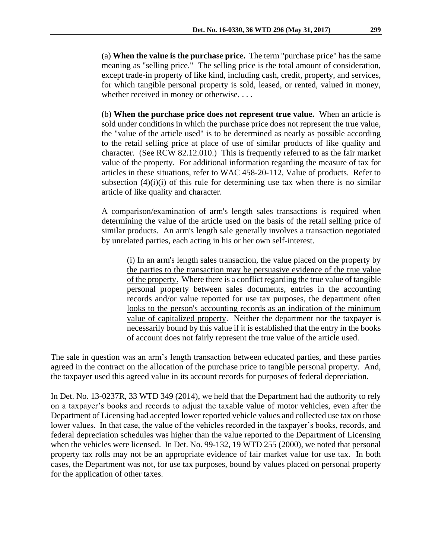(a) **When the value is the purchase price.** The term "purchase price" has the same meaning as "selling price." The selling price is the total amount of consideration, except trade-in property of like kind, including cash, credit, property, and services, for which tangible personal property is sold, leased, or rented, valued in money, whether received in money or otherwise. . . .

(b) **When the purchase price does not represent true value.** When an article is sold under conditions in which the purchase price does not represent the true value, the "value of the article used" is to be determined as nearly as possible according to the retail selling price at place of use of similar products of like quality and character. (See RCW [82.12.010.](http://app.leg.wa.gov/RCW/default.aspx?cite=82.12.010)) This is frequently referred to as the fair market value of the property. For additional information regarding the measure of tax for articles in these situations, refer to WAC [458-20-112,](http://apps.leg.wa.gov/wac/default.aspx?cite=458-20-112) Value of products. Refer to subsection  $(4)(i)(i)$  of this rule for determining use tax when there is no similar article of like quality and character.

A comparison/examination of arm's length sales transactions is required when determining the value of the article used on the basis of the retail selling price of similar products. An arm's length sale generally involves a transaction negotiated by unrelated parties, each acting in his or her own self-interest.

(i) In an arm's length sales transaction, the value placed on the property by the parties to the transaction may be persuasive evidence of the true value of the property. Where there is a conflict regarding the true value of tangible personal property between sales documents, entries in the accounting records and/or value reported for use tax purposes, the department often looks to the person's accounting records as an indication of the minimum value of capitalized property. Neither the department nor the taxpayer is necessarily bound by this value if it is established that the entry in the books of account does not fairly represent the true value of the article used.

The sale in question was an arm's length transaction between educated parties, and these parties agreed in the contract on the allocation of the purchase price to tangible personal property. And, the taxpayer used this agreed value in its account records for purposes of federal depreciation.

In Det. No. 13-0237R, 33 WTD 349 (2014), we held that the Department had the authority to rely on a taxpayer's books and records to adjust the taxable value of motor vehicles, even after the Department of Licensing had accepted lower reported vehicle values and collected use tax on those lower values. In that case, the value of the vehicles recorded in the taxpayer's books, records, and federal depreciation schedules was higher than the value reported to the Department of Licensing when the vehicles were licensed. In Det. No. 99-132, 19 WTD 255 (2000), we noted that personal property tax rolls may not be an appropriate evidence of fair market value for use tax. In both cases, the Department was not, for use tax purposes, bound by values placed on personal property for the application of other taxes.